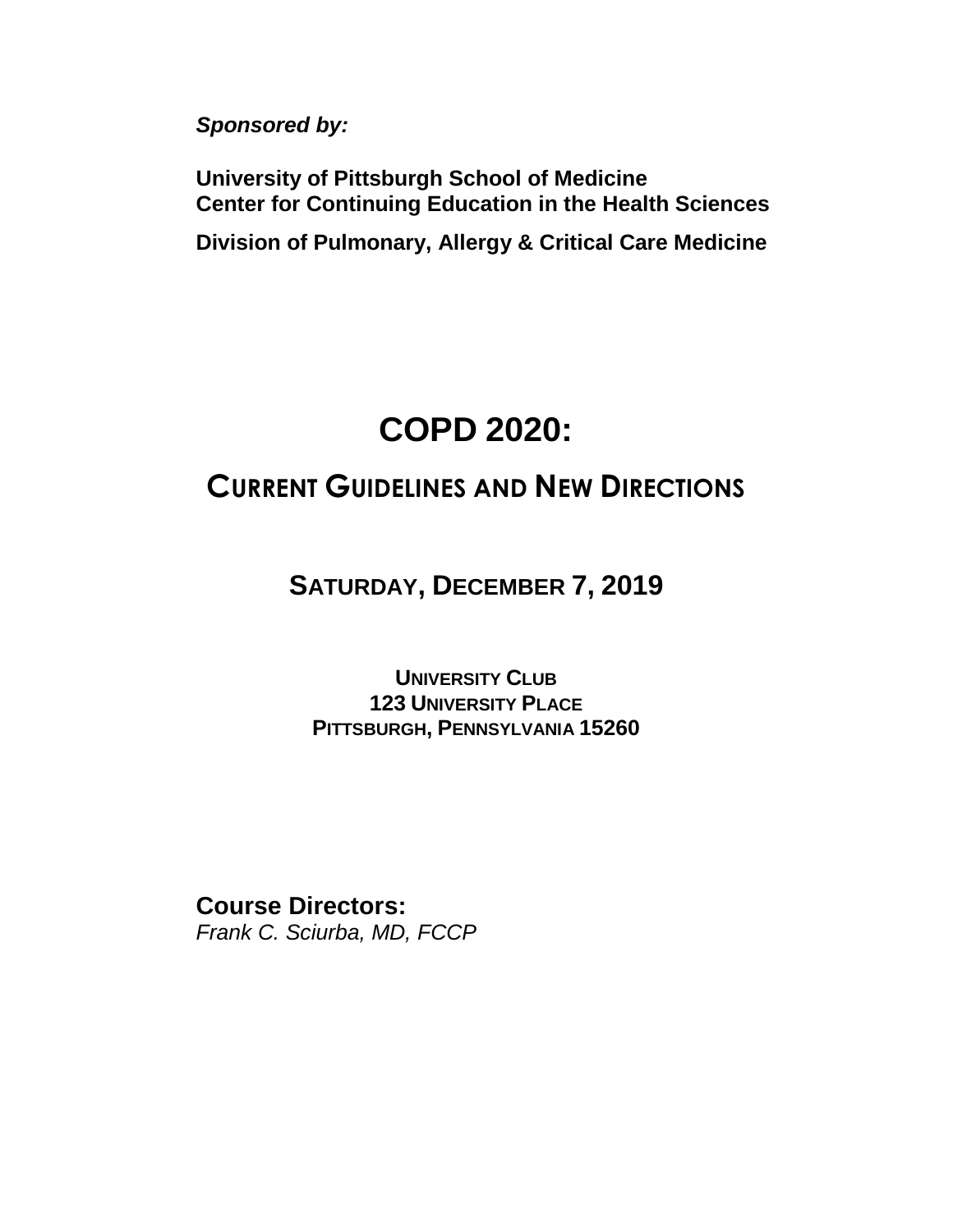*Sponsored by:*

**University of Pittsburgh School of Medicine Center for Continuing Education in the Health Sciences**

**Division of Pulmonary, Allergy & Critical Care Medicine** 

# **COPD 2020:**

## **CURRENT GUIDELINES AND NEW DIRECTIONS**

**SATURDAY, DECEMBER 7, 2019**

**UNIVERSITY CLUB 123 UNIVERSITY PLACE PITTSBURGH, PENNSYLVANIA 15260**

**Course Directors:** *Frank C. Sciurba, MD, FCCP*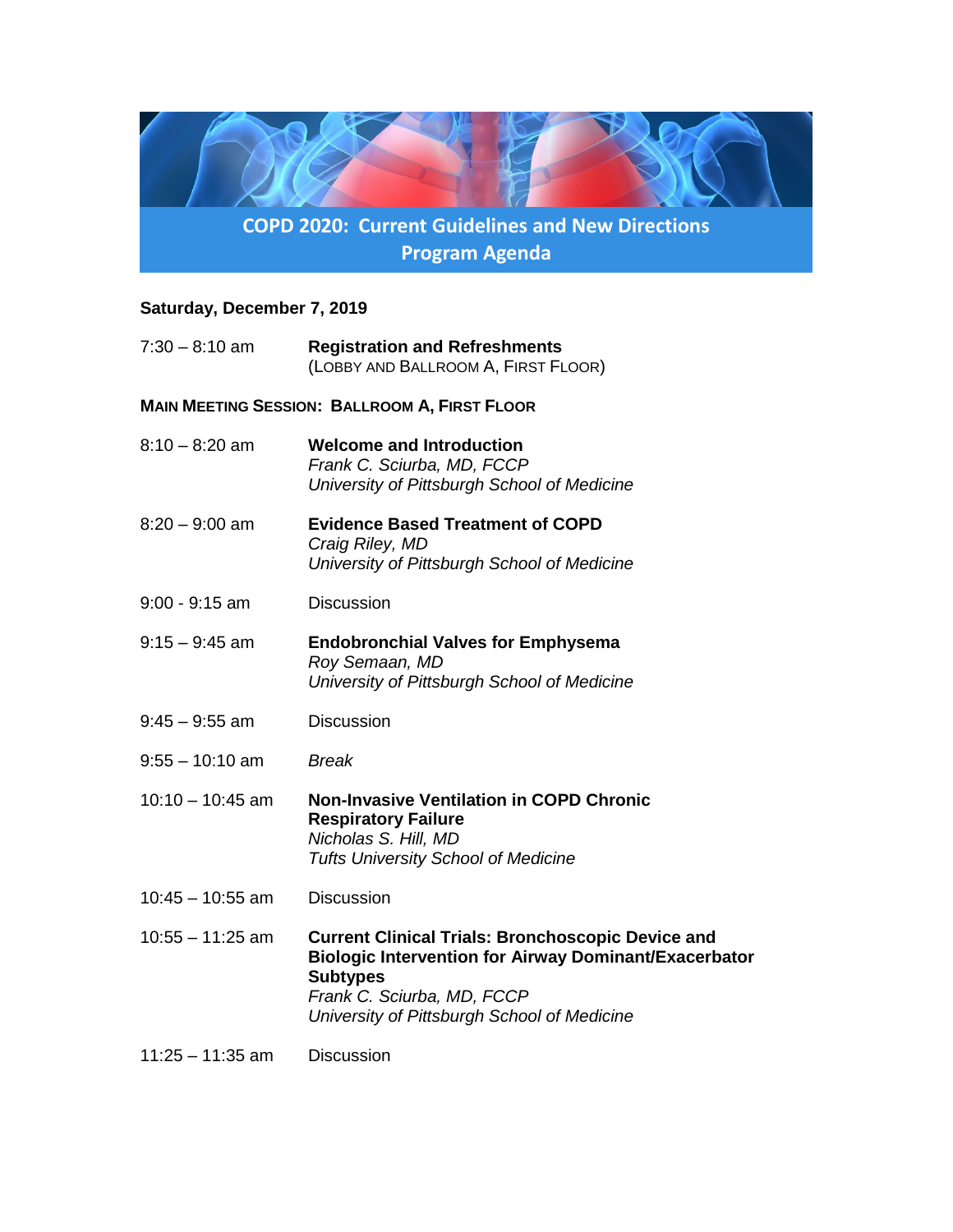

#### **Saturday, December 7, 2019**

|                                                      | $7:30 - 8:10$ am   | <b>Registration and Refreshments</b><br>(LOBBY AND BALLROOM A, FIRST FLOOR)                                                                                                                                              |  |
|------------------------------------------------------|--------------------|--------------------------------------------------------------------------------------------------------------------------------------------------------------------------------------------------------------------------|--|
| <b>MAIN MEETING SESSION: BALLROOM A, FIRST FLOOR</b> |                    |                                                                                                                                                                                                                          |  |
|                                                      | $8:10 - 8:20$ am   | <b>Welcome and Introduction</b><br>Frank C. Sciurba, MD, FCCP<br>University of Pittsburgh School of Medicine                                                                                                             |  |
|                                                      | $8:20 - 9:00$ am   | <b>Evidence Based Treatment of COPD</b><br>Craig Riley, MD<br>University of Pittsburgh School of Medicine                                                                                                                |  |
|                                                      | $9:00 - 9:15$ am   | <b>Discussion</b>                                                                                                                                                                                                        |  |
|                                                      | $9:15 - 9:45$ am   | <b>Endobronchial Valves for Emphysema</b><br>Roy Semaan, MD<br>University of Pittsburgh School of Medicine                                                                                                               |  |
|                                                      | $9:45 - 9:55$ am   | <b>Discussion</b>                                                                                                                                                                                                        |  |
|                                                      | $9:55 - 10:10$ am  | <b>Break</b>                                                                                                                                                                                                             |  |
|                                                      | $10:10 - 10:45$ am | <b>Non-Invasive Ventilation in COPD Chronic</b><br><b>Respiratory Failure</b><br>Nicholas S. Hill, MD<br><b>Tufts University School of Medicine</b>                                                                      |  |
|                                                      | $10:45 - 10:55$ am | <b>Discussion</b>                                                                                                                                                                                                        |  |
|                                                      | $10:55 - 11:25$ am | <b>Current Clinical Trials: Bronchoscopic Device and</b><br><b>Biologic Intervention for Airway Dominant/Exacerbator</b><br><b>Subtypes</b><br>Frank C. Sciurba, MD, FCCP<br>University of Pittsburgh School of Medicine |  |
|                                                      | $11:25 - 11:35$ am | <b>Discussion</b>                                                                                                                                                                                                        |  |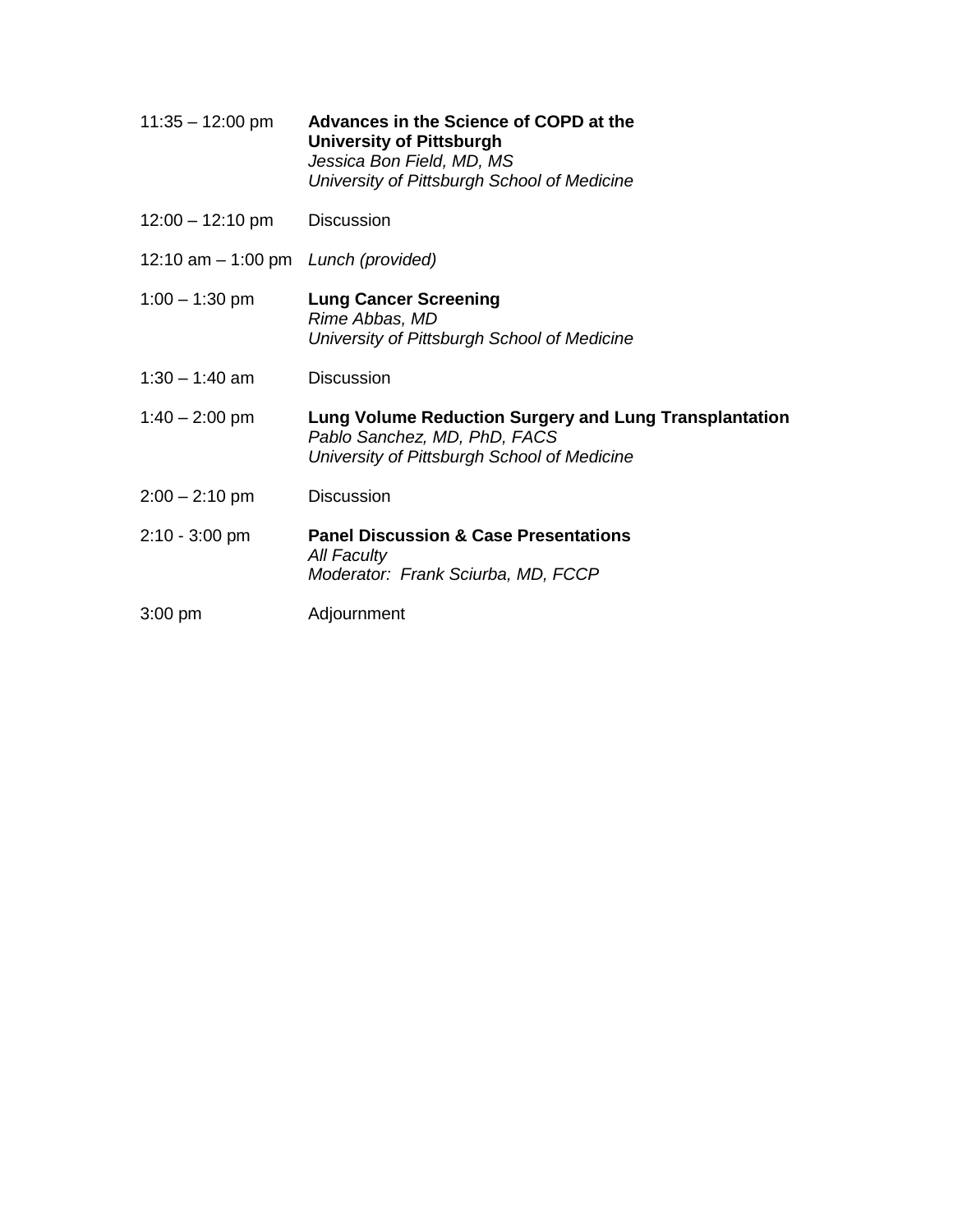| $11:35 - 12:00$ pm                    | Advances in the Science of COPD at the<br><b>University of Pittsburgh</b><br>Jessica Bon Field, MD, MS<br>University of Pittsburgh School of Medicine |
|---------------------------------------|-------------------------------------------------------------------------------------------------------------------------------------------------------|
| $12:00 - 12:10 \text{ pm}$            | <b>Discussion</b>                                                                                                                                     |
| 12:10 am $-$ 1:00 pm Lunch (provided) |                                                                                                                                                       |
| $1:00 - 1:30$ pm                      | <b>Lung Cancer Screening</b><br>Rime Abbas, MD<br>University of Pittsburgh School of Medicine                                                         |
| $1:30 - 1:40$ am                      | <b>Discussion</b>                                                                                                                                     |
| $1:40 - 2:00$ pm                      | Lung Volume Reduction Surgery and Lung Transplantation<br>Pablo Sanchez, MD, PhD, FACS<br>University of Pittsburgh School of Medicine                 |
| $2:00 - 2:10$ pm                      | <b>Discussion</b>                                                                                                                                     |
| $2:10 - 3:00$ pm                      | <b>Panel Discussion &amp; Case Presentations</b><br><b>All Faculty</b><br>Moderator: Frank Sciurba, MD, FCCP                                          |
| $3:00$ pm                             | Adjournment                                                                                                                                           |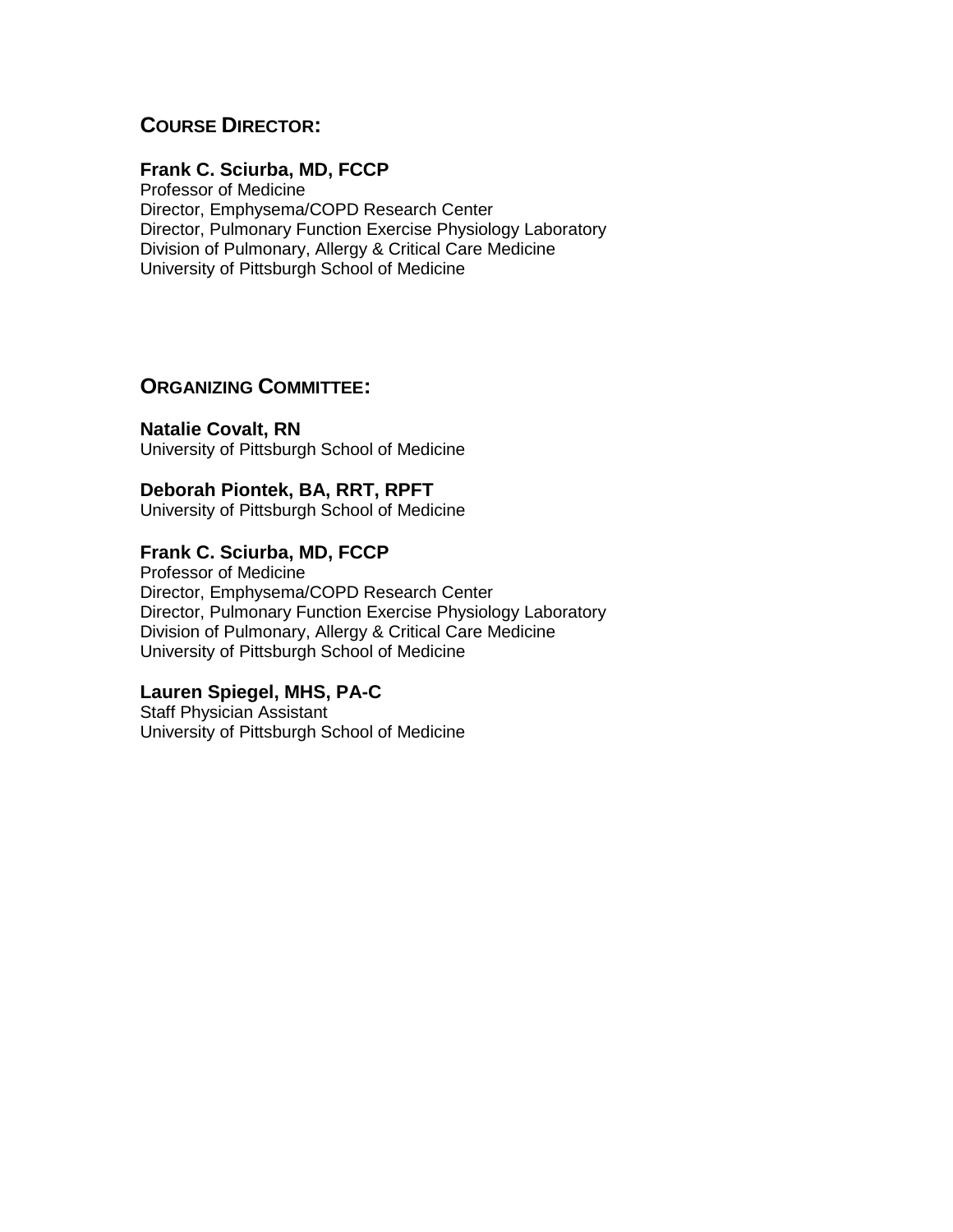### **COURSE DIRECTOR:**

#### **Frank C. Sciurba, MD, FCCP**

Professor of Medicine Director, Emphysema/COPD Research Center Director, Pulmonary Function Exercise Physiology Laboratory Division of Pulmonary, Allergy & Critical Care Medicine University of Pittsburgh School of Medicine

#### **ORGANIZING COMMITTEE:**

**Natalie Covalt, RN** University of Pittsburgh School of Medicine

#### **Deborah Piontek, BA, RRT, RPFT**

University of Pittsburgh School of Medicine

#### **Frank C. Sciurba, MD, FCCP**

Professor of Medicine Director, Emphysema/COPD Research Center Director, Pulmonary Function Exercise Physiology Laboratory Division of Pulmonary, Allergy & Critical Care Medicine University of Pittsburgh School of Medicine

#### **Lauren Spiegel, MHS, PA-C**

Staff Physician Assistant University of Pittsburgh School of Medicine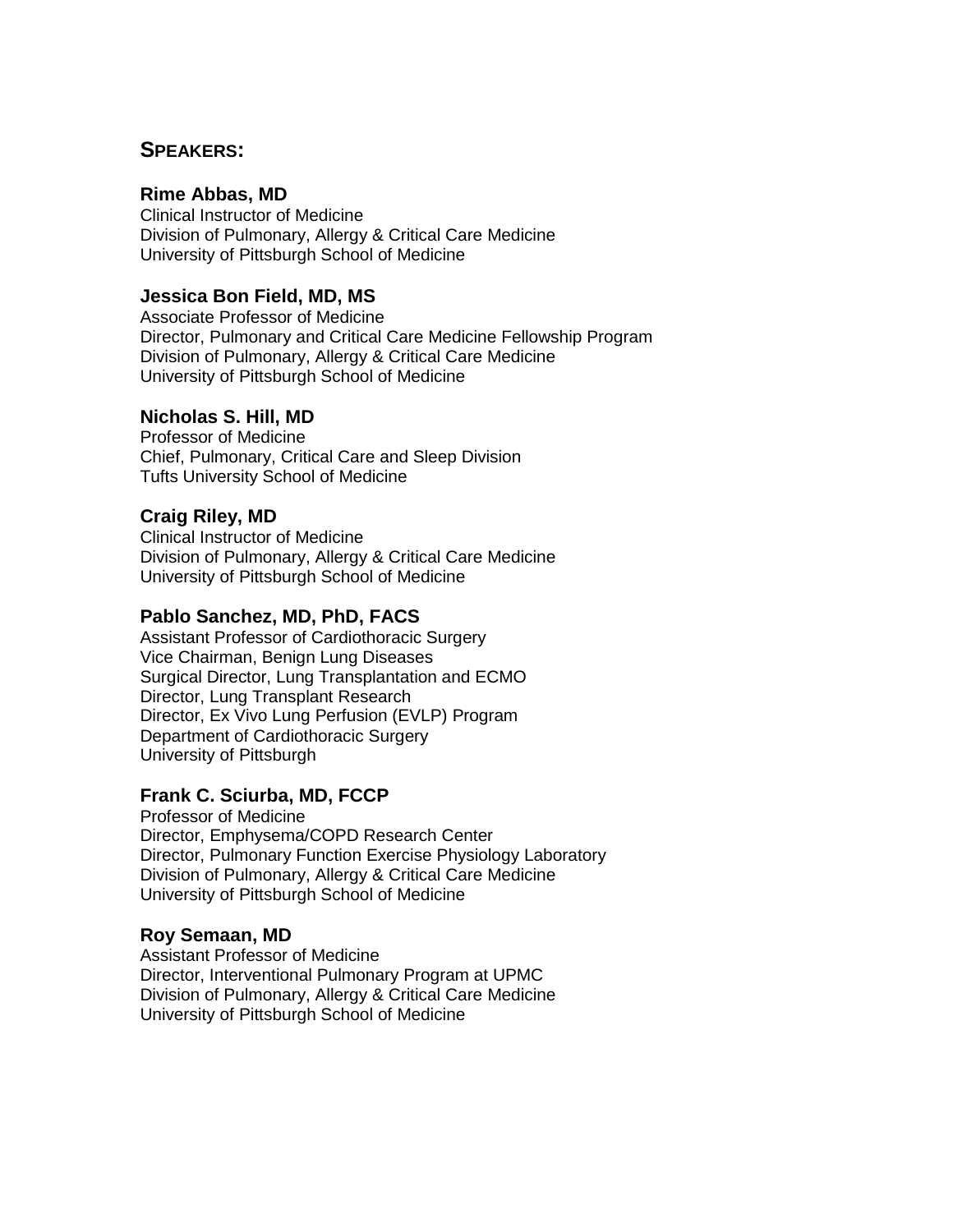#### **SPEAKERS:**

#### **Rime Abbas, MD**

Clinical Instructor of Medicine Division of Pulmonary, Allergy & Critical Care Medicine University of Pittsburgh School of Medicine

#### **Jessica Bon Field, MD, MS**

Associate Professor of Medicine Director, Pulmonary and Critical Care Medicine Fellowship Program Division of Pulmonary, Allergy & Critical Care Medicine University of Pittsburgh School of Medicine

#### **Nicholas S. Hill, MD**

Professor of Medicine Chief, Pulmonary, Critical Care and Sleep Division Tufts University School of Medicine

#### **Craig Riley, MD**

Clinical Instructor of Medicine Division of Pulmonary, Allergy & Critical Care Medicine University of Pittsburgh School of Medicine

#### **Pablo Sanchez, MD, PhD, FACS**

Assistant Professor of Cardiothoracic Surgery Vice Chairman, Benign Lung Diseases Surgical Director, Lung Transplantation and ECMO Director, Lung Transplant Research Director, Ex Vivo Lung Perfusion (EVLP) Program Department of Cardiothoracic Surgery University of Pittsburgh

#### **Frank C. Sciurba, MD, FCCP**

Professor of Medicine Director, Emphysema/COPD Research Center Director, Pulmonary Function Exercise Physiology Laboratory Division of Pulmonary, Allergy & Critical Care Medicine University of Pittsburgh School of Medicine

#### **Roy Semaan, MD**

Assistant Professor of Medicine Director, Interventional Pulmonary Program at UPMC Division of Pulmonary, Allergy & Critical Care Medicine University of Pittsburgh School of Medicine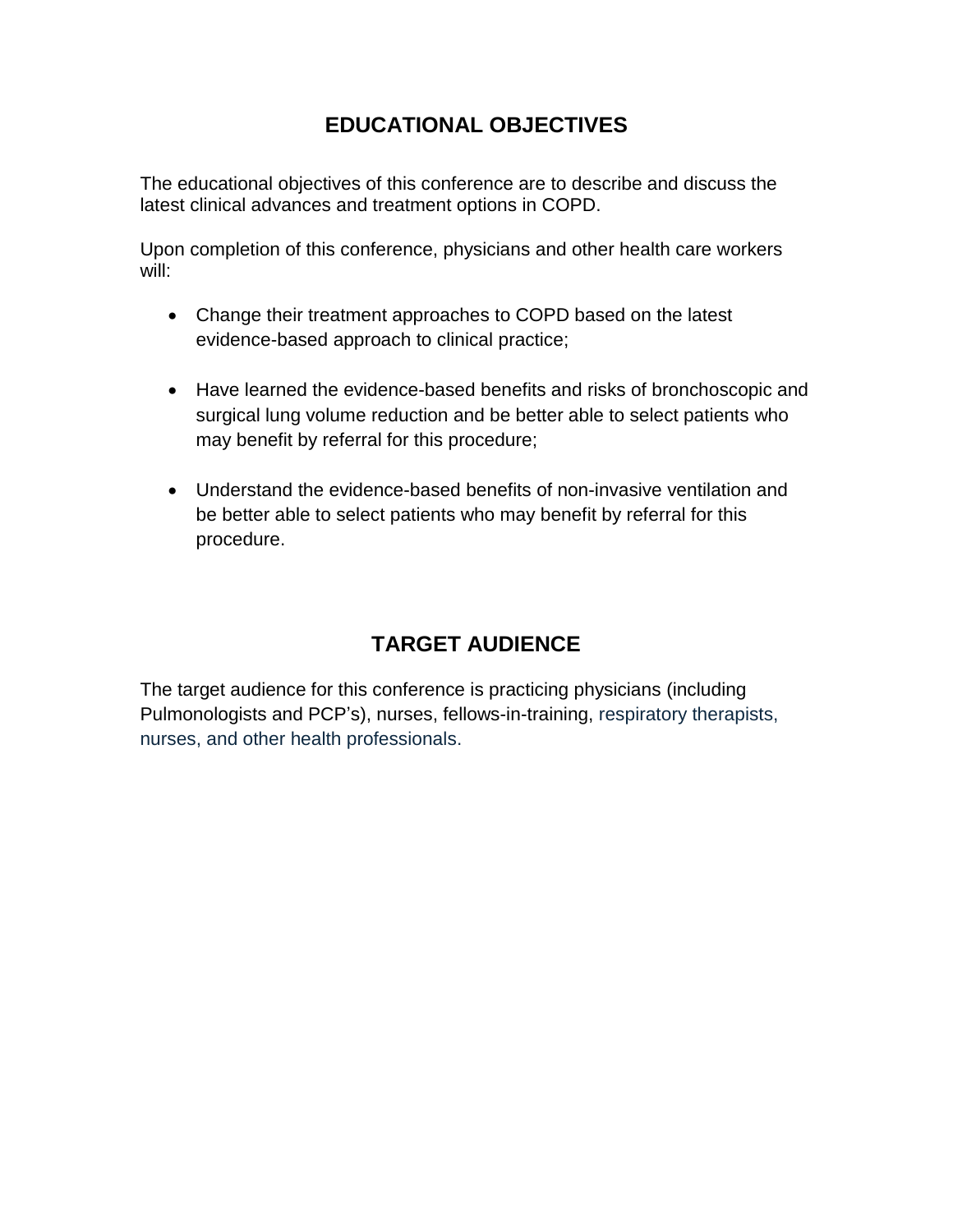## **EDUCATIONAL OBJECTIVES**

The educational objectives of this conference are to describe and discuss the latest clinical advances and treatment options in COPD.

Upon completion of this conference, physicians and other health care workers will:

- Change their treatment approaches to COPD based on the latest evidence-based approach to clinical practice;
- Have learned the evidence-based benefits and risks of bronchoscopic and surgical lung volume reduction and be better able to select patients who may benefit by referral for this procedure;
- Understand the evidence-based benefits of non-invasive ventilation and be better able to select patients who may benefit by referral for this procedure.

## **TARGET AUDIENCE**

The target audience for this conference is practicing physicians (including Pulmonologists and PCP's), nurses, fellows-in-training, respiratory therapists, nurses, and other health professionals.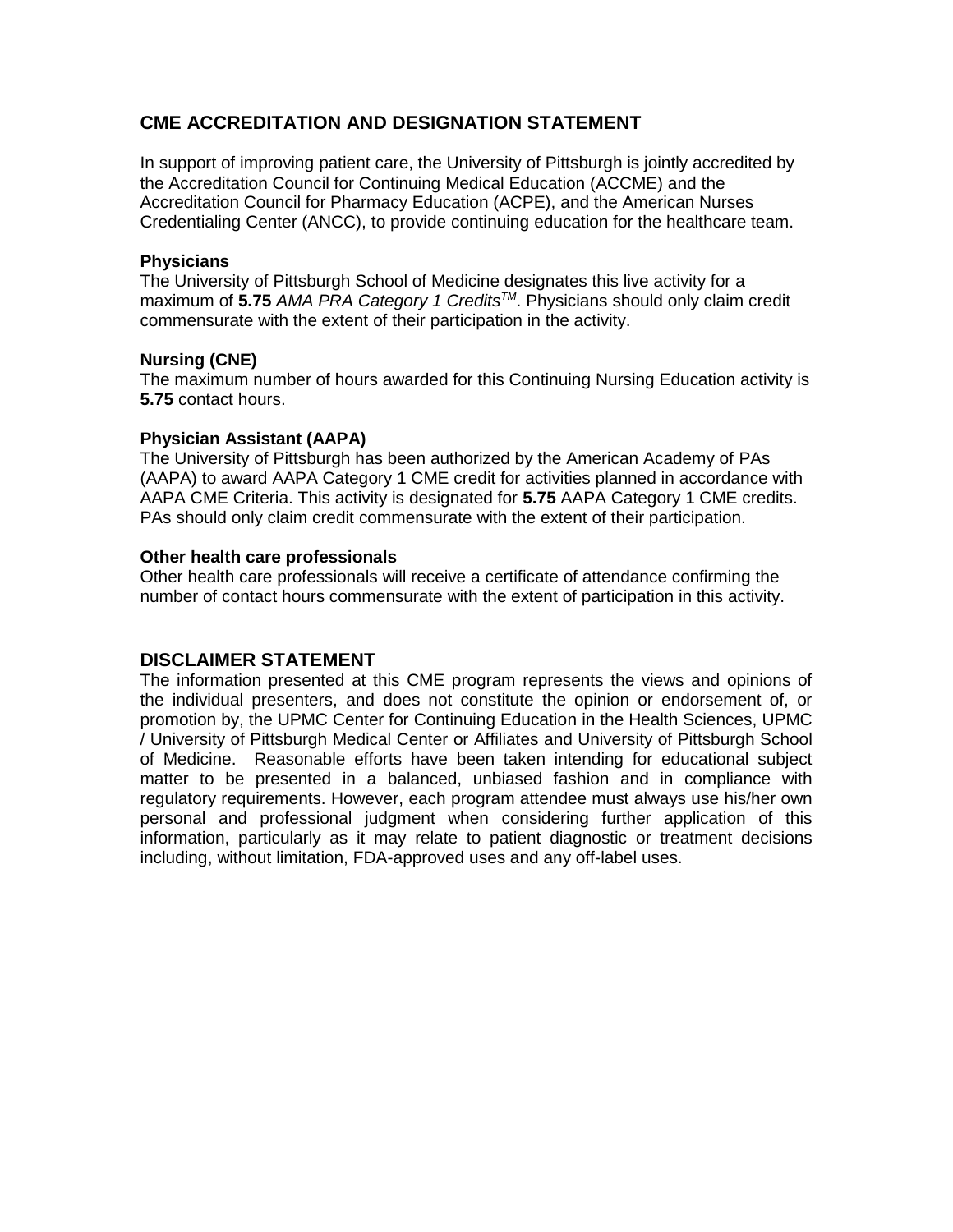#### **CME ACCREDITATION AND DESIGNATION STATEMENT**

In support of improving patient care, the University of Pittsburgh is jointly accredited by the Accreditation Council for Continuing Medical Education (ACCME) and the Accreditation Council for Pharmacy Education (ACPE), and the American Nurses Credentialing Center (ANCC), to provide continuing education for the healthcare team.

#### **Physicians**

The University of Pittsburgh School of Medicine designates this live activity for a maximum of **5.75** *AMA PRA Category 1 CreditsTM*. Physicians should only claim credit commensurate with the extent of their participation in the activity.

#### **Nursing (CNE)**

The maximum number of hours awarded for this Continuing Nursing Education activity is **5.75** contact hours.

#### **Physician Assistant (AAPA)**

The University of Pittsburgh has been authorized by the American Academy of PAs (AAPA) to award AAPA Category 1 CME credit for activities planned in accordance with AAPA CME Criteria. This activity is designated for **5.75** AAPA Category 1 CME credits. PAs should only claim credit commensurate with the extent of their participation.

#### **Other health care professionals**

Other health care professionals will receive a certificate of attendance confirming the number of contact hours commensurate with the extent of participation in this activity.

#### **DISCLAIMER STATEMENT**

The information presented at this CME program represents the views and opinions of the individual presenters, and does not constitute the opinion or endorsement of, or promotion by, the UPMC Center for Continuing Education in the Health Sciences, UPMC / University of Pittsburgh Medical Center or Affiliates and University of Pittsburgh School of Medicine. Reasonable efforts have been taken intending for educational subject matter to be presented in a balanced, unbiased fashion and in compliance with regulatory requirements. However, each program attendee must always use his/her own personal and professional judgment when considering further application of this information, particularly as it may relate to patient diagnostic or treatment decisions including, without limitation, FDA-approved uses and any off-label uses.